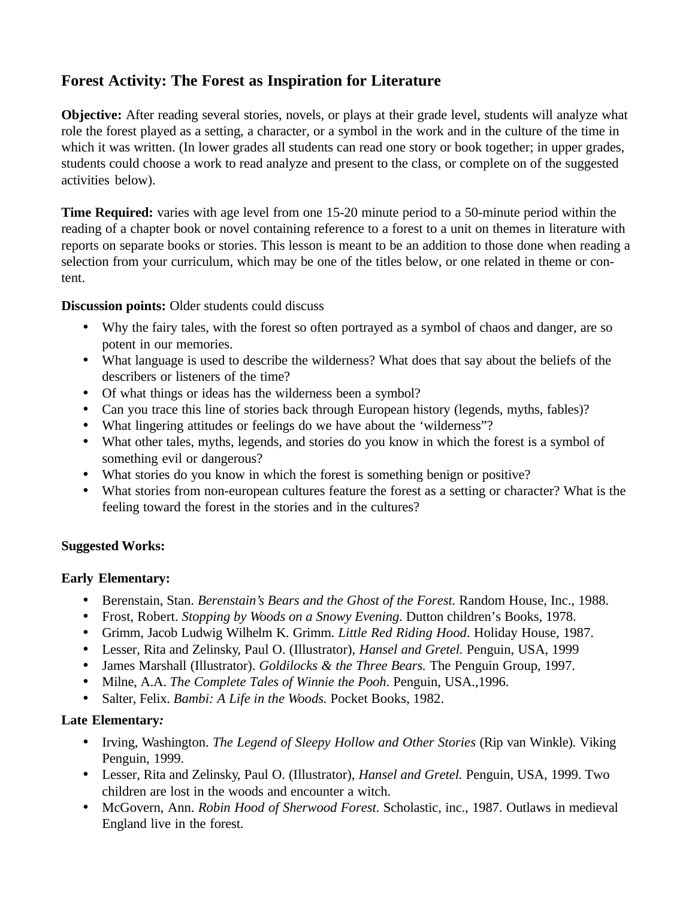# **Forest Activity: The Forest as Inspiration for Literature**

**Objective:** After reading several stories, novels, or plays at their grade level, students will analyze what role the forest played as a setting, a character, or a symbol in the work and in the culture of the time in which it was written. (In lower grades all students can read one story or book together; in upper grades, students could choose a work to read analyze and present to the class, or complete on of the suggested activities below).

**Time Required:** varies with age level from one 15-20 minute period to a 50-minute period within the reading of a chapter book or novel containing reference to a forest to a unit on themes in literature with reports on separate books or stories. This lesson is meant to be an addition to those done when reading a selection from your curriculum, which may be one of the titles below, or one related in theme or content.

**Discussion points:** Older students could discuss

- Why the fairy tales, with the forest so often portrayed as a symbol of chaos and danger, are so potent in our memories.
- What language is used to describe the wilderness? What does that say about the beliefs of the describers or listeners of the time?
- Of what things or ideas has the wilderness been a symbol?
- Can you trace this line of stories back through European history (legends, myths, fables)?
- What lingering attitudes or feelings do we have about the 'wilderness"?
- What other tales, myths, legends, and stories do you know in which the forest is a symbol of something evil or dangerous?
- What stories do you know in which the forest is something benign or positive?
- What stories from non-european cultures feature the forest as a setting or character? What is the feeling toward the forest in the stories and in the cultures?

## **Suggested Works:**

## **Early Elementary:**

- Berenstain, Stan. *Berenstain's Bears and the Ghost of the Forest.* Random House, Inc., 1988.
- Frost, Robert. *Stopping by Woods on a Snowy Evening*. Dutton children's Books, 1978.
- Grimm, Jacob Ludwig Wilhelm K. Grimm. *Little Red Riding Hood*. Holiday House, 1987.
- Lesser, Rita and Zelinsky, Paul O. (Illustrator), *Hansel and Gretel.* Penguin, USA, 1999
- James Marshall (Illustrator). *Goldilocks & the Three Bears.* The Penguin Group, 1997.
- Milne, A.A. *The Complete Tales of Winnie the Pooh*. Penguin, USA.,1996.
- Salter, Felix. *Bambi: A Life in the Woods.* Pocket Books, 1982.

## **Late Elementary***:*

- Irving, Washington. *The Legend of Sleepy Hollow and Other Stories* (Rip van Winkle). Viking Penguin, 1999.
- Lesser, Rita and Zelinsky, Paul O. (Illustrator), *Hansel and Gretel.* Penguin, USA, 1999. Two children are lost in the woods and encounter a witch.
- McGovern, Ann. *Robin Hood of Sherwood Forest*. Scholastic, inc., 1987. Outlaws in medieval England live in the forest.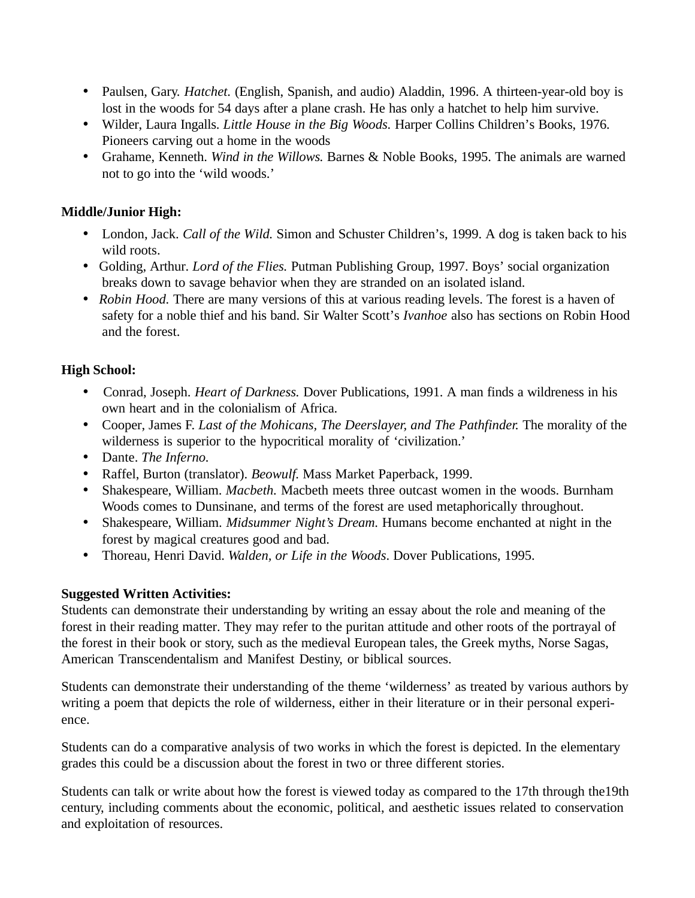- Paulsen, Gary. *Hatchet.* (English, Spanish, and audio) Aladdin, 1996. A thirteen-year-old boy is lost in the woods for 54 days after a plane crash. He has only a hatchet to help him survive.
- Wilder, Laura Ingalls. *Little House in the Big Woods.* Harper Collins Children's Books, 1976. Pioneers carving out a home in the woods
- Grahame, Kenneth. *Wind in the Willows.* Barnes & Noble Books, 1995. The animals are warned not to go into the 'wild woods.'

## **Middle/Junior High:**

- London, Jack. *Call of the Wild*. Simon and Schuster Children's, 1999. A dog is taken back to his wild roots.
- Golding, Arthur. *Lord of the Flies.* Putman Publishing Group, 1997. Boys' social organization breaks down to savage behavior when they are stranded on an isolated island.
- *Robin Hood.* There are many versions of this at various reading levels. The forest is a haven of safety for a noble thief and his band. Sir Walter Scott's *Ivanhoe* also has sections on Robin Hood and the forest.

## **High School:**

- Conrad, Joseph. *Heart of Darkness.* Dover Publications, 1991. A man finds a wildreness in his own heart and in the colonialism of Africa.
- Cooper, James F. *Last of the Mohicans, The Deerslayer, and The Pathfinder.* The morality of the wilderness is superior to the hypocritical morality of 'civilization.'
- Dante. *The Inferno.*
- Raffel, Burton (translator). *Beowulf.* Mass Market Paperback, 1999.
- Shakespeare, William. *Macbeth.* Macbeth meets three outcast women in the woods. Burnham Woods comes to Dunsinane, and terms of the forest are used metaphorically throughout.
- Shakespeare, William. *Midsummer Night's Dream*. Humans become enchanted at night in the forest by magical creatures good and bad.
- Thoreau, Henri David. *Walden, or Life in the Woods*. Dover Publications, 1995.

## **Suggested Written Activities:**

Students can demonstrate their understanding by writing an essay about the role and meaning of the forest in their reading matter. They may refer to the puritan attitude and other roots of the portrayal of the forest in their book or story, such as the medieval European tales, the Greek myths, Norse Sagas, American Transcendentalism and Manifest Destiny, or biblical sources.

Students can demonstrate their understanding of the theme 'wilderness' as treated by various authors by writing a poem that depicts the role of wilderness, either in their literature or in their personal experience.

Students can do a comparative analysis of two works in which the forest is depicted. In the elementary grades this could be a discussion about the forest in two or three different stories.

Students can talk or write about how the forest is viewed today as compared to the 17th through the19th century, including comments about the economic, political, and aesthetic issues related to conservation and exploitation of resources.